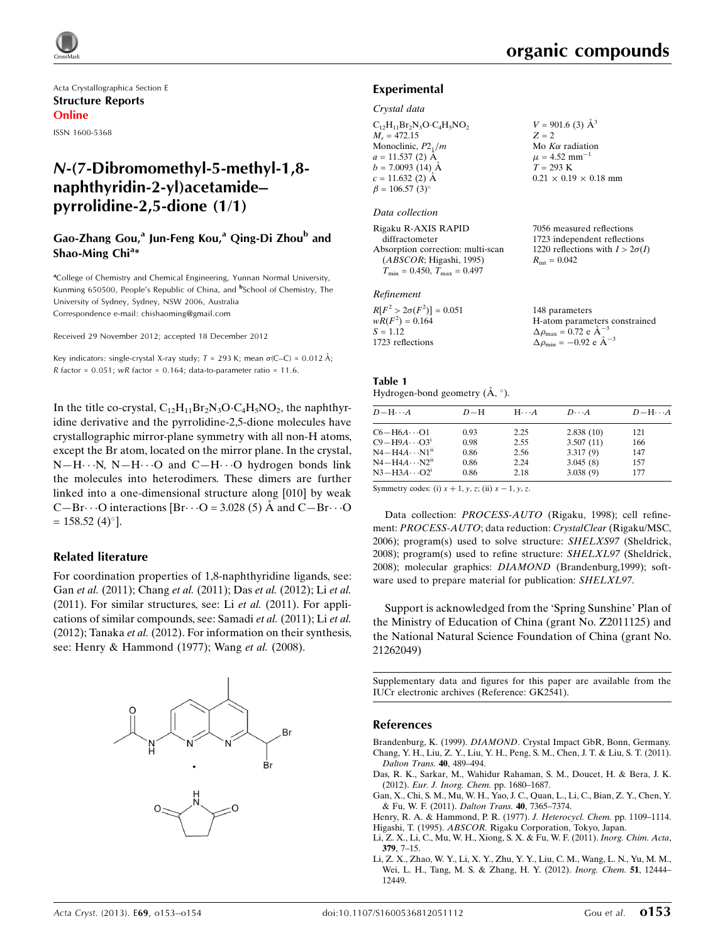$V = 901.6$  (3)  $\AA^3$  $Z = 2$ 

Mo  $K\alpha$  radiation  $\mu = 4.52$  mm<sup>-1</sup>  $T = 293 K$ 

 $R_{\text{int}} = 0.042$ 

 $0.21 \times 0.19 \times 0.18$  mm

7056 measured reflections 1723 independent reflections 1220 reflections with  $I > 2\sigma(I)$ 

Acta Crystallographica Section E Structure Reports Online ISSN 1600-5368

## N-(7-Dibromomethyl-5-methyl-1,8 naphthyridin-2-yl)acetamide– pyrrolidine-2,5-dione (1/1)

## Gao-Zhang Gou,<sup>a</sup> Jun-Feng Kou,<sup>a</sup> Qing-Di Zhou<sup>b</sup> and Shao-Ming Chi<sup>a</sup>\*

<sup>a</sup>College of Chemistry and Chemical Engineering, Yunnan Normal University, Kunming 650500, People's Republic of China, and <sup>b</sup>School of Chemistry, The University of Sydney, Sydney, NSW 2006, Australia Correspondence e-mail: [chishaoming@gmail.com](https://scripts.iucr.org/cgi-bin/cr.cgi?rm=pdfbb&cnor=gk2541&bbid=BB14)

Received 29 November 2012; accepted 18 December 2012

Key indicators: single-crystal X-ray study;  $T$  = 293 K; mean  $\sigma$ (C–C) = 0.012 Å; R factor =  $0.051$ ; wR factor =  $0.164$ ; data-to-parameter ratio =  $11.6$ .

In the title co-crystal,  $C_{12}H_{11}Br_2N_3O \cdot C_4H_5NO_2$ , the naphthyridine derivative and the pyrrolidine-2,5-dione molecules have crystallographic mirror-plane symmetry with all non-H atoms, except the Br atom, located on the mirror plane. In the crystal,  $N-H\cdots N$ ,  $N-H\cdots O$  and  $C-H\cdots O$  hydrogen bonds link the molecules into heterodimers. These dimers are further linked into a one-dimensional structure along [010] by weak C-Br $\cdot \cdot$  O interactions [Br $\cdot \cdot$  O = 3.028 (5) Å and C-Br $\cdot \cdot$  O  $= 158.52 (4)$ °].

## Related literature

For coordination properties of 1,8-naphthyridine ligands, see: Gan et al. (2011); Chang et al. (2011); Das et al. (2012); Li et al. (2011). For similar structures, see: Li et al. (2011). For applications of similar compounds, see: Samadi et al. (2011); Li et al. (2012); Tanaka et al. (2012). For information on their synthesis, see: Henry & Hammond (1977); Wang et al. (2008).



### Experimental

#### Crystal data

 $C_{12}H_{11}Br_2N_3O \cdot C_4H_5NO_2$  $M_r = 472.15$ Monoclinic,  $P2_1/m$  $a = 11.537(2)$  Å  $b = 7.0093(14)$  Å  $c = 11.632(2)$  Å  $\beta = 106.57$  (3)<sup>o</sup>

#### Data collection

Rigaku R-AXIS RAPID diffractometer Absorption correction: multi-scan (ABSCOR; Higashi, 1995)  $T_{\text{min}} = 0.450, T_{\text{max}} = 0.497$ 

#### Refinement

| $R[F^2 > 2\sigma(F^2)] = 0.051$ | 148 parameters                                               |
|---------------------------------|--------------------------------------------------------------|
| $wR(F^2) = 0.164$               | H-atom parameters constrained                                |
| $S = 1.12$                      | $\Delta \rho_{\text{max}} = 0.72 \text{ e } \text{\AA}^{-3}$ |
| 1723 reflections                | $\Delta \rho_{\text{min}} = -0.92$ e $\AA^{-3}$              |

#### Table 1 Hydrogen-bond geometry  $(\mathring{A}, \degree)$ .

| $D - H \cdots A$          | $D-H$ | $H \cdots A$ | $D\cdots A$ | $D-H\cdots A$ |
|---------------------------|-------|--------------|-------------|---------------|
| $C6 - H6A \cdots O1$      | 0.93  | 2.25         | 2.838(10)   | 121           |
| $C9 - H9A \cdots O3^1$    | 0.98  | 2.55         | 3.507(11)   | 166           |
| $N4 - H4A \cdots N1^{ii}$ | 0.86  | 2.56         | 3.317(9)    | 147           |
| $N4 - H4A \cdots N2^{ii}$ | 0.86  | 2.24         | 3.045(8)    | 157           |
| $N3-H3A\cdots O2^i$       | 0.86  | 2.18         | 3.038(9)    | 177           |

Symmetry codes: (i)  $x + 1$ ,  $y$ ,  $z$ ; (ii)  $x - 1$ ,  $y$ ,  $z$ .

Data collection: PROCESS-AUTO (Rigaku, 1998); cell refinement: PROCESS-AUTO; data reduction: CrystalClear (Rigaku/MSC, 2006); program(s) used to solve structure: SHELXS97 (Sheldrick, 2008); program(s) used to refine structure: SHELXL97 (Sheldrick, 2008); molecular graphics: DIAMOND (Brandenburg,1999); software used to prepare material for publication: SHELXL97.

Support is acknowledged from the 'Spring Sunshine' Plan of the Ministry of Education of China (grant No. Z2011125) and the National Natural Science Foundation of China (grant No. 21262049)

Supplementary data and figures for this paper are available from the IUCr electronic archives (Reference: GK2541).

### References

Brandenburg, K. (1999). DIAMOND[. Crystal Impact GbR, Bonn, Germany.](https://scripts.iucr.org/cgi-bin/cr.cgi?rm=pdfbb&cnor=gk2541&bbid=BB1) [Chang, Y. H., Liu, Z. Y., Liu, Y. H., Peng, S. M., Chen, J. T. & Liu, S. T. \(2011\).](https://scripts.iucr.org/cgi-bin/cr.cgi?rm=pdfbb&cnor=gk2541&bbid=BB2) [Dalton Trans.](https://scripts.iucr.org/cgi-bin/cr.cgi?rm=pdfbb&cnor=gk2541&bbid=BB2) 40, 489–494.

- [Das, R. K., Sarkar, M., Wahidur Rahaman, S. M., Doucet, H. & Bera, J. K.](https://scripts.iucr.org/cgi-bin/cr.cgi?rm=pdfbb&cnor=gk2541&bbid=BB3) (2012). [Eur. J. Inorg. Chem.](https://scripts.iucr.org/cgi-bin/cr.cgi?rm=pdfbb&cnor=gk2541&bbid=BB3) pp. 1680–1687.
- [Gan, X., Chi, S. M., Mu, W. H., Yao, J. C., Quan, L., Li, C., Bian, Z. Y., Chen, Y.](https://scripts.iucr.org/cgi-bin/cr.cgi?rm=pdfbb&cnor=gk2541&bbid=BB4) [& Fu, W. F. \(2011\).](https://scripts.iucr.org/cgi-bin/cr.cgi?rm=pdfbb&cnor=gk2541&bbid=BB4) Dalton Trans. 40, 7365–7374.
- [Henry, R. A. & Hammond, P. R. \(1977\).](https://scripts.iucr.org/cgi-bin/cr.cgi?rm=pdfbb&cnor=gk2541&bbid=BB5) J. Heterocycl. Chem. pp. 1109–1114. Higashi, T. (1995). ABSCOR[. Rigaku Corporation, Tokyo, Japan.](https://scripts.iucr.org/cgi-bin/cr.cgi?rm=pdfbb&cnor=gk2541&bbid=BB6)
- [Li, Z. X., Li, C., Mu, W. H., Xiong, S. X. & Fu, W. F. \(2011\).](https://scripts.iucr.org/cgi-bin/cr.cgi?rm=pdfbb&cnor=gk2541&bbid=BB7) Inorg. Chim. Acta, 379[, 7–15.](https://scripts.iucr.org/cgi-bin/cr.cgi?rm=pdfbb&cnor=gk2541&bbid=BB7)
- [Li, Z. X., Zhao, W. Y., Li, X. Y., Zhu, Y. Y., Liu, C. M., Wang, L. N., Yu, M. M.,](https://scripts.iucr.org/cgi-bin/cr.cgi?rm=pdfbb&cnor=gk2541&bbid=BB8) [Wei, L. H., Tang, M. S. & Zhang, H. Y. \(2012\).](https://scripts.iucr.org/cgi-bin/cr.cgi?rm=pdfbb&cnor=gk2541&bbid=BB8) Inorg. Chem. 51, 12444– [12449.](https://scripts.iucr.org/cgi-bin/cr.cgi?rm=pdfbb&cnor=gk2541&bbid=BB8)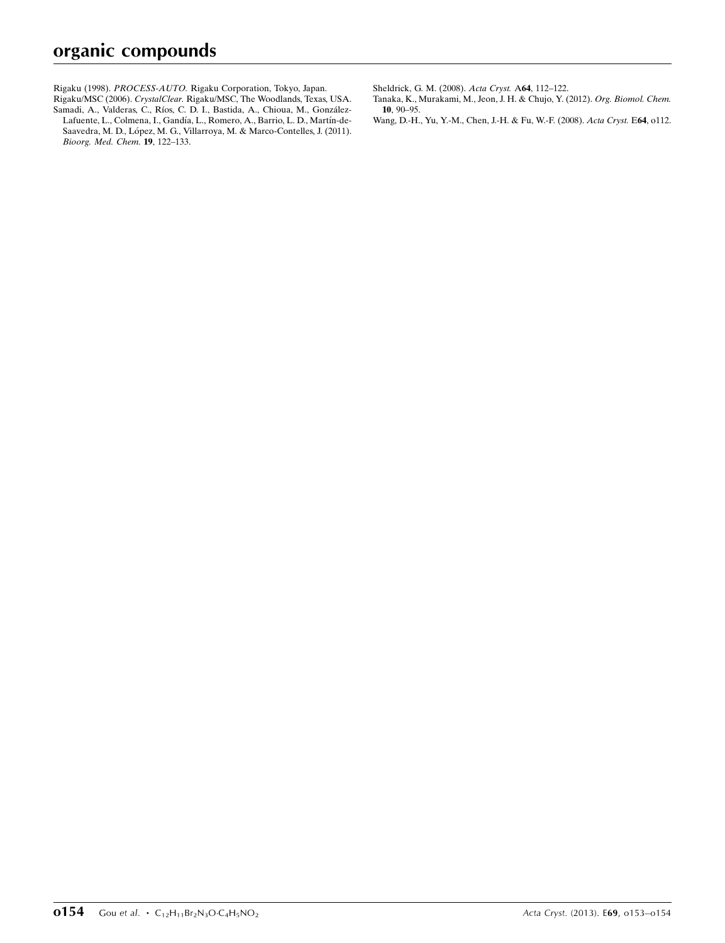Rigaku (1998). PROCESS-AUTO. [Rigaku Corporation, Tokyo, Japan.](https://scripts.iucr.org/cgi-bin/cr.cgi?rm=pdfbb&cnor=gk2541&bbid=BB9)

Rigaku/MSC (2006). CrystalClear. [Rigaku/MSC, The Woodlands, Texas, USA.](https://scripts.iucr.org/cgi-bin/cr.cgi?rm=pdfbb&cnor=gk2541&bbid=BB10) Samadi, A., Valderas, C., Ríos, C. D. I., Bastida, A., Chioua, M., González-Lafuente, L., Colmena, I., Gandía, L., Romero, A., Barrio, L. D., Martín-de-Saavedra, M. D., López, M. G., Villarroya, M. & Marco-Contelles, J. (2011). [Bioorg. Med. Chem.](https://scripts.iucr.org/cgi-bin/cr.cgi?rm=pdfbb&cnor=gk2541&bbid=BB11) 19, 122–133.

[Sheldrick, G. M. \(2008\).](https://scripts.iucr.org/cgi-bin/cr.cgi?rm=pdfbb&cnor=gk2541&bbid=BB12) Acta Cryst. A64, 112–122.

- [Tanaka, K., Murakami, M., Jeon, J. H. & Chujo, Y. \(2012\).](https://scripts.iucr.org/cgi-bin/cr.cgi?rm=pdfbb&cnor=gk2541&bbid=BB13) Org. Biomol. Chem. 10[, 90–95.](https://scripts.iucr.org/cgi-bin/cr.cgi?rm=pdfbb&cnor=gk2541&bbid=BB13)
- [Wang, D.-H., Yu, Y.-M., Chen, J.-H. & Fu, W.-F. \(2008\).](https://scripts.iucr.org/cgi-bin/cr.cgi?rm=pdfbb&cnor=gk2541&bbid=BB14) Acta Cryst. E64, o112.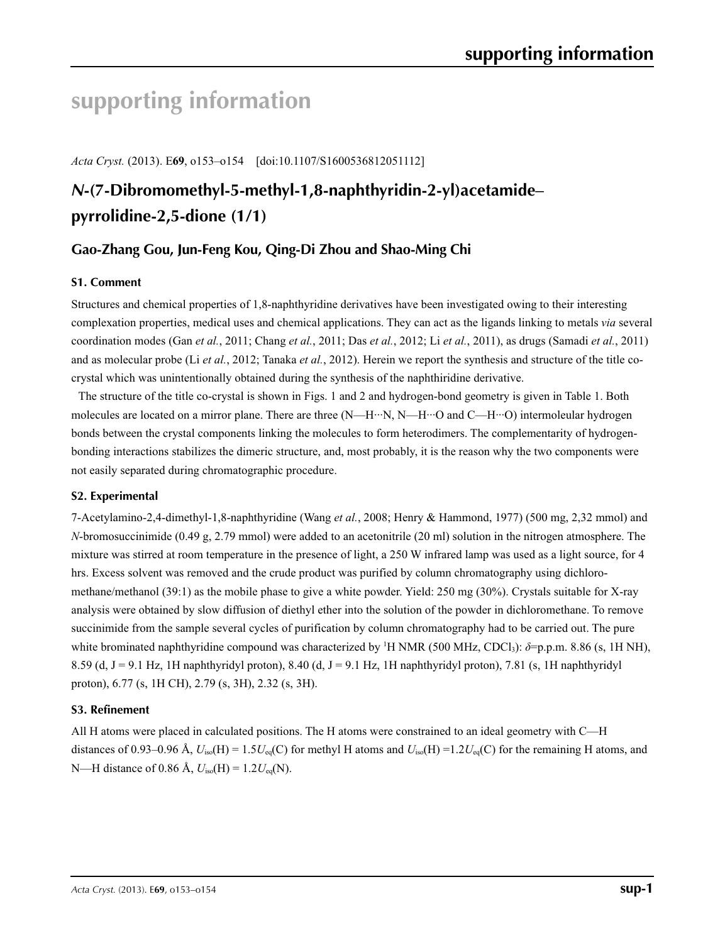# **supporting information**

*Acta Cryst.* (2013). E**69**, o153–o154 [doi:10.1107/S1600536812051112]

# *N***-(7-Dibromomethyl-5-methyl-1,8-naphthyridin-2-yl)acetamide– pyrrolidine-2,5-dione (1/1)**

## **Gao-Zhang Gou, Jun-Feng Kou, Qing-Di Zhou and Shao-Ming Chi**

## **S1. Comment**

Structures and chemical properties of 1,8-naphthyridine derivatives have been investigated owing to their interesting complexation properties, medical uses and chemical applications. They can act as the ligands linking to metals *via* several coordination modes (Gan *et al.*, 2011; Chang *et al.*, 2011; Das *et al.*, 2012; Li *et al.*, 2011), as drugs (Samadi *et al.*, 2011) and as molecular probe (Li *et al.*, 2012; Tanaka *et al.*, 2012). Herein we report the synthesis and structure of the title cocrystal which was unintentionally obtained during the synthesis of the naphthiridine derivative.

The structure of the title co-crystal is shown in Figs. 1 and 2 and hydrogen-bond geometry is given in Table 1. Both molecules are located on a mirror plane. There are three (N—H···N, N—H···O and C—H···O) intermoleular hydrogen bonds between the crystal components linking the molecules to form heterodimers. The complementarity of hydrogenbonding interactions stabilizes the dimeric structure, and, most probably, it is the reason why the two components were not easily separated during chromatographic procedure.

## **S2. Experimental**

7-Acetylamino-2,4-dimethyl-1,8-naphthyridine (Wang *et al.*, 2008; Henry & Hammond, 1977) (500 mg, 2,32 mmol) and *N*-bromosuccinimide (0.49 g, 2.79 mmol) were added to an acetonitrile (20 ml) solution in the nitrogen atmosphere. The mixture was stirred at room temperature in the presence of light, a 250 W infrared lamp was used as a light source, for 4 hrs. Excess solvent was removed and the crude product was purified by column chromatography using dichloromethane/methanol (39:1) as the mobile phase to give a white powder. Yield: 250 mg (30%). Crystals suitable for X-ray analysis were obtained by slow diffusion of diethyl ether into the solution of the powder in dichloromethane. To remove succinimide from the sample several cycles of purification by column chromatography had to be carried out. The pure white brominated naphthyridine compound was characterized by <sup>1</sup>H NMR (500 MHz, CDCl<sub>3</sub>):  $\delta$ =p.p.m. 8.86 (s, 1H NH), 8.59 (d, J = 9.1 Hz, 1H naphthyridyl proton), 8.40 (d, J = 9.1 Hz, 1H naphthyridyl proton), 7.81 (s, 1H naphthyridyl proton), 6.77 (s, 1H CH), 2.79 (s, 3H), 2.32 (s, 3H).

## **S3. Refinement**

All H atoms were placed in calculated positions. The H atoms were constrained to an ideal geometry with C—H distances of 0.93–0.96 Å,  $U_{iso}(H) = 1.5U_{eq}(C)$  for methyl H atoms and  $U_{iso}(H) = 1.2U_{eq}(C)$  for the remaining H atoms, and N—H distance of 0.86 Å, *U*iso(H) = 1.2*U*eq(N).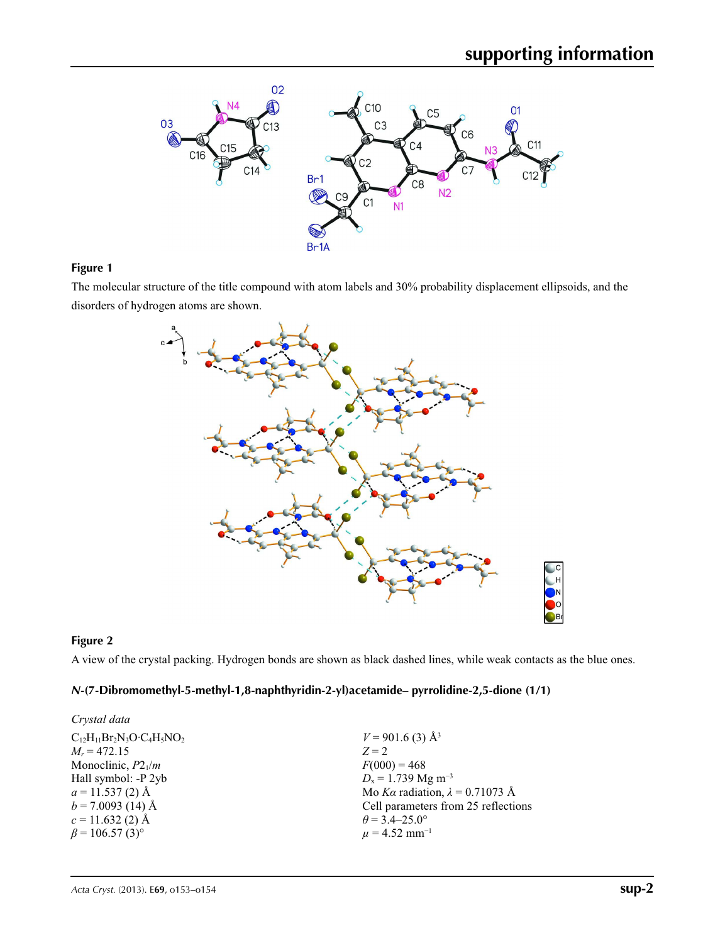

## **Figure 1**

The molecular structure of the title compound with atom labels and 30% probability displacement ellipsoids, and the disorders of hydrogen atoms are shown.



## **Figure 2**

A view of the crystal packing. Hydrogen bonds are shown as black dashed lines, while weak contacts as the blue ones.

## *N***-(7-Dibromomethyl-5-methyl-1,8-naphthyridin-2-yl)acetamide– pyrrolidine-2,5-dione (1/1)**

| Crystal data                      |                                        |
|-----------------------------------|----------------------------------------|
| $C_{12}H_{11}Br_2N_3O·C_4H_5NO_2$ | $V = 901.6$ (3) Å <sup>3</sup>         |
| $M_r = 472.15$                    | $Z = 2$                                |
| Monoclinic, $P2_1/m$              | $F(000) = 468$                         |
| Hall symbol: -P 2yb               | $D_x = 1.739$ Mg m <sup>-3</sup>       |
| $a = 11.537(2)$ Å                 | Mo Ka radiation, $\lambda = 0.71073$ Å |
| $b = 7.0093$ (14) Å               | Cell parameters from 25 reflections    |
| $c = 11.632(2)$ Å                 | $\theta$ = 3.4–25.0°                   |
| $\beta$ = 106.57 (3) <sup>o</sup> | $\mu = 4.52$ mm <sup>-1</sup>          |
|                                   |                                        |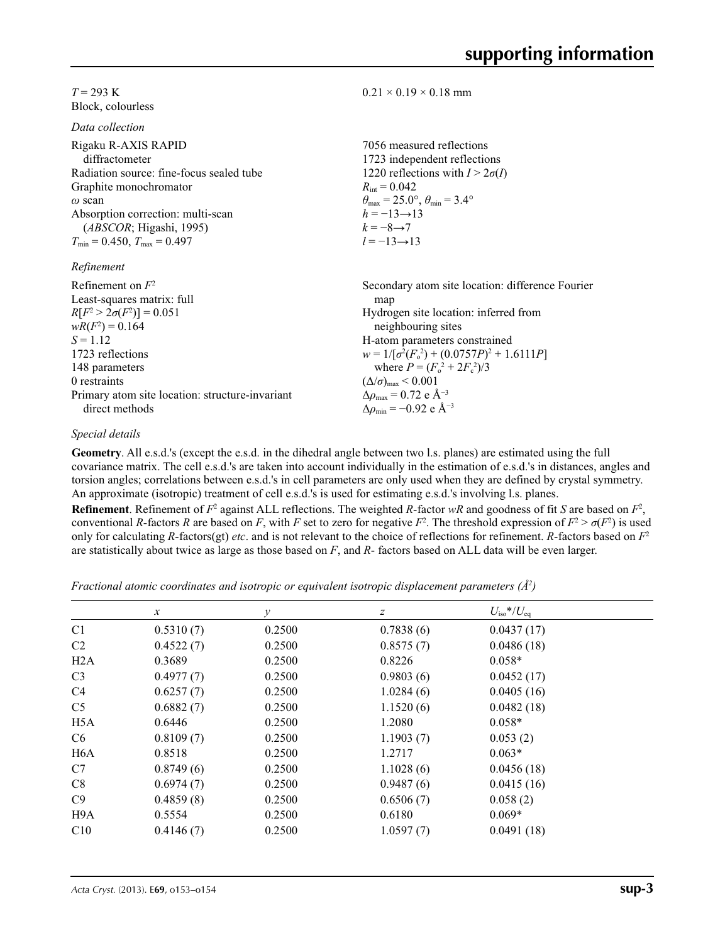### $T = 293$  K Block, colourless

*Data collection*

| Rigaku R-AXIS RAPID<br>diffractometer    | 7056 measured reflections<br>1723 independent reflections               |
|------------------------------------------|-------------------------------------------------------------------------|
| Radiation source: fine-focus sealed tube | 1220 reflections with $I > 2\sigma(I)$                                  |
| Graphite monochromator                   | $R_{\rm int} = 0.042$                                                   |
| $\omega$ scan                            | $\theta_{\text{max}} = 25.0^{\circ}, \theta_{\text{min}} = 3.4^{\circ}$ |
| Absorption correction: multi-scan        | $h = -13 \rightarrow 13$                                                |
| (ABSCOR; Higashi, 1995)                  | $k = -8 \rightarrow 7$                                                  |
| $T_{\min} = 0.450$ , $T_{\max} = 0.497$  | $l = -13 \rightarrow 13$                                                |
| Refinement                               |                                                                         |
| Refinement on $F^2$                      | Secondary atom site location: difference Fourier                        |
| Least-squares matrix: full               | map                                                                     |
| $R[F^2 > 2\sigma(F^2)] = 0.051$          | Hydrogen site location: inferred from                                   |
| $wR(F^2) = 0.164$                        | neighbouring sites                                                      |
| $S = 1.12$                               | H-atom parameters constrained                                           |
| 1723 reflections                         | $w = 1/[\sigma^2(F_0^2) + (0.0757P)^2 + 1.6111P]$                       |
|                                          |                                                                         |

## *Special details*

direct methods

148 parameters 0 restraints

Primary atom site location: structure-invariant

**Geometry**. All e.s.d.'s (except the e.s.d. in the dihedral angle between two l.s. planes) are estimated using the full covariance matrix. The cell e.s.d.'s are taken into account individually in the estimation of e.s.d.'s in distances, angles and torsion angles; correlations between e.s.d.'s in cell parameters are only used when they are defined by crystal symmetry. An approximate (isotropic) treatment of cell e.s.d.'s is used for estimating e.s.d.'s involving l.s. planes.

 $0.21 \times 0.19 \times 0.18$  mm

where  $P = (F_o^2 + 2F_c^2)/3$ 

 $(\Delta/\sigma)_{\text{max}}$  < 0.001  $Δρ_{max} = 0.72$  e Å<sup>-3</sup> Δ*ρ*min = −0.92 e Å−3

**Refinement**. Refinement of  $F^2$  against ALL reflections. The weighted *R*-factor  $wR$  and goodness of fit *S* are based on  $F^2$ , conventional *R*-factors *R* are based on *F*, with *F* set to zero for negative *F*<sup>2</sup>. The threshold expression of  $F^2 > \sigma(F^2)$  is used only for calculating *R*-factors(gt) *etc*. and is not relevant to the choice of reflections for refinement. *R*-factors based on *F*<sup>2</sup> are statistically about twice as large as those based on *F*, and *R*- factors based on ALL data will be even larger.

*Fractional atomic coordinates and isotropic or equivalent isotropic displacement parameters (Å<sup>2</sup>)* 

|                  | $\mathcal{X}$ | v      | z         | $U_{\rm iso}*/U_{\rm eq}$ |  |
|------------------|---------------|--------|-----------|---------------------------|--|
| C <sub>1</sub>   | 0.5310(7)     | 0.2500 | 0.7838(6) | 0.0437(17)                |  |
| C2               | 0.4522(7)     | 0.2500 | 0.8575(7) | 0.0486(18)                |  |
| H2A              | 0.3689        | 0.2500 | 0.8226    | $0.058*$                  |  |
| C <sub>3</sub>   | 0.4977(7)     | 0.2500 | 0.9803(6) | 0.0452(17)                |  |
| C4               | 0.6257(7)     | 0.2500 | 1.0284(6) | 0.0405(16)                |  |
| C <sub>5</sub>   | 0.6882(7)     | 0.2500 | 1.1520(6) | 0.0482(18)                |  |
| H <sub>5</sub> A | 0.6446        | 0.2500 | 1.2080    | $0.058*$                  |  |
| C <sub>6</sub>   | 0.8109(7)     | 0.2500 | 1.1903(7) | 0.053(2)                  |  |
| H <sub>6</sub> A | 0.8518        | 0.2500 | 1.2717    | $0.063*$                  |  |
| C7               | 0.8749(6)     | 0.2500 | 1.1028(6) | 0.0456(18)                |  |
| C8               | 0.6974(7)     | 0.2500 | 0.9487(6) | 0.0415(16)                |  |
| C9               | 0.4859(8)     | 0.2500 | 0.6506(7) | 0.058(2)                  |  |
| H <sub>9</sub> A | 0.5554        | 0.2500 | 0.6180    | $0.069*$                  |  |
| C10              | 0.4146(7)     | 0.2500 | 1.0597(7) | 0.0491(18)                |  |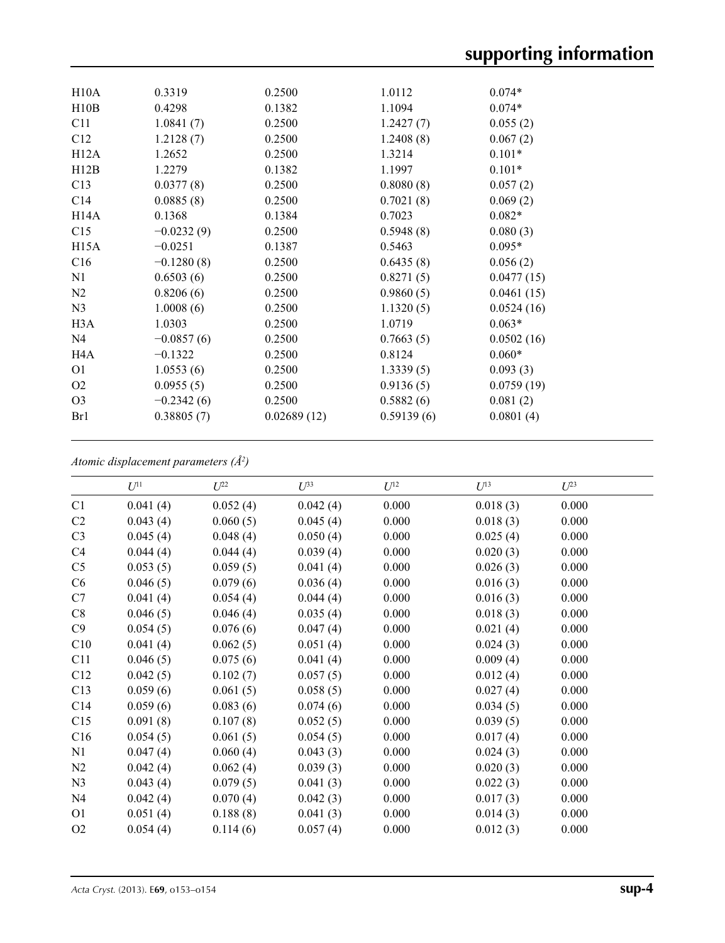| H10A              | 0.3319       | 0.2500      | 1.0112     | $0.074*$   |
|-------------------|--------------|-------------|------------|------------|
| H10B              | 0.4298       | 0.1382      | 1.1094     | $0.074*$   |
| C11               | 1.0841(7)    | 0.2500      | 1.2427(7)  | 0.055(2)   |
| C12               | 1.2128(7)    | 0.2500      | 1.2408(8)  | 0.067(2)   |
| H12A              | 1.2652       | 0.2500      | 1.3214     | $0.101*$   |
| H12B              | 1.2279       | 0.1382      | 1.1997     | $0.101*$   |
| C13               | 0.0377(8)    | 0.2500      | 0.8080(8)  | 0.057(2)   |
| C14               | 0.0885(8)    | 0.2500      | 0.7021(8)  | 0.069(2)   |
| H <sub>14</sub> A | 0.1368       | 0.1384      | 0.7023     | $0.082*$   |
| C15               | $-0.0232(9)$ | 0.2500      | 0.5948(8)  | 0.080(3)   |
| H15A              | $-0.0251$    | 0.1387      | 0.5463     | $0.095*$   |
| C16               | $-0.1280(8)$ | 0.2500      | 0.6435(8)  | 0.056(2)   |
| N <sub>1</sub>    | 0.6503(6)    | 0.2500      | 0.8271(5)  | 0.0477(15) |
| N2                | 0.8206(6)    | 0.2500      | 0.9860(5)  | 0.0461(15) |
| N <sub>3</sub>    | 1.0008(6)    | 0.2500      | 1.1320(5)  | 0.0524(16) |
| H <sub>3</sub> A  | 1.0303       | 0.2500      | 1.0719     | $0.063*$   |
| N4                | $-0.0857(6)$ | 0.2500      | 0.7663(5)  | 0.0502(16) |
| H <sub>4</sub> A  | $-0.1322$    | 0.2500      | 0.8124     | $0.060*$   |
| O <sub>1</sub>    | 1.0553(6)    | 0.2500      | 1.3339(5)  | 0.093(3)   |
| O <sub>2</sub>    | 0.0955(5)    | 0.2500      | 0.9136(5)  | 0.0759(19) |
| O <sub>3</sub>    | $-0.2342(6)$ | 0.2500      | 0.5882(6)  | 0.081(2)   |
| Br1               | 0.38805(7)   | 0.02689(12) | 0.59139(6) | 0.0801(4)  |
|                   |              |             |            |            |

*Atomic displacement parameters (Å2 )*

|                | $U^{11}$ | $U^{22}$ | $U^{33}$ | $U^{12}$ | $U^{13}$ | $U^{23}$ |  |
|----------------|----------|----------|----------|----------|----------|----------|--|
| C1             | 0.041(4) | 0.052(4) | 0.042(4) | 0.000    | 0.018(3) | 0.000    |  |
| C <sub>2</sub> | 0.043(4) | 0.060(5) | 0.045(4) | 0.000    | 0.018(3) | 0.000    |  |
| C <sub>3</sub> | 0.045(4) | 0.048(4) | 0.050(4) | 0.000    | 0.025(4) | 0.000    |  |
| C4             | 0.044(4) | 0.044(4) | 0.039(4) | 0.000    | 0.020(3) | 0.000    |  |
| C <sub>5</sub> | 0.053(5) | 0.059(5) | 0.041(4) | 0.000    | 0.026(3) | 0.000    |  |
| C6             | 0.046(5) | 0.079(6) | 0.036(4) | 0.000    | 0.016(3) | 0.000    |  |
| C7             | 0.041(4) | 0.054(4) | 0.044(4) | 0.000    | 0.016(3) | 0.000    |  |
| C8             | 0.046(5) | 0.046(4) | 0.035(4) | 0.000    | 0.018(3) | 0.000    |  |
| C9             | 0.054(5) | 0.076(6) | 0.047(4) | 0.000    | 0.021(4) | 0.000    |  |
| C10            | 0.041(4) | 0.062(5) | 0.051(4) | 0.000    | 0.024(3) | 0.000    |  |
| C11            | 0.046(5) | 0.075(6) | 0.041(4) | 0.000    | 0.009(4) | 0.000    |  |
| C12            | 0.042(5) | 0.102(7) | 0.057(5) | 0.000    | 0.012(4) | 0.000    |  |
| C13            | 0.059(6) | 0.061(5) | 0.058(5) | 0.000    | 0.027(4) | 0.000    |  |
| C14            | 0.059(6) | 0.083(6) | 0.074(6) | 0.000    | 0.034(5) | 0.000    |  |
| C15            | 0.091(8) | 0.107(8) | 0.052(5) | 0.000    | 0.039(5) | 0.000    |  |
| C16            | 0.054(5) | 0.061(5) | 0.054(5) | 0.000    | 0.017(4) | 0.000    |  |
| N1             | 0.047(4) | 0.060(4) | 0.043(3) | 0.000    | 0.024(3) | 0.000    |  |
| N2             | 0.042(4) | 0.062(4) | 0.039(3) | 0.000    | 0.020(3) | 0.000    |  |
| N <sub>3</sub> | 0.043(4) | 0.079(5) | 0.041(3) | 0.000    | 0.022(3) | 0.000    |  |
| N4             | 0.042(4) | 0.070(4) | 0.042(3) | 0.000    | 0.017(3) | 0.000    |  |
| O <sub>1</sub> | 0.051(4) | 0.188(8) | 0.041(3) | 0.000    | 0.014(3) | 0.000    |  |
| O <sub>2</sub> | 0.054(4) | 0.114(6) | 0.057(4) | 0.000    | 0.012(3) | 0.000    |  |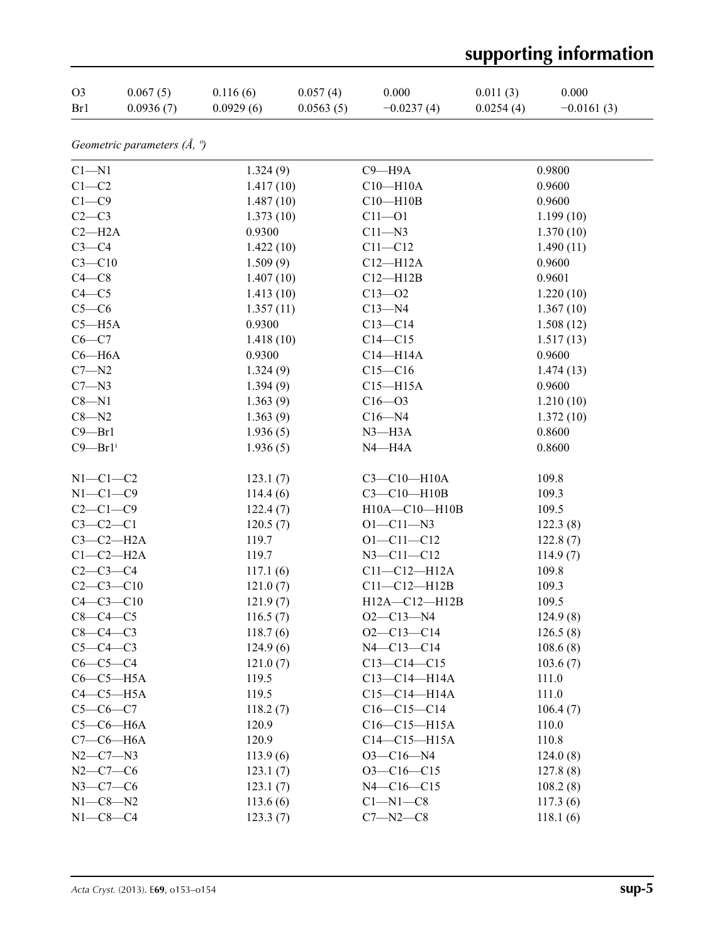# **supporting information**

| O <sub>3</sub> | 0.067(5)  | 0.116(6)  | 0.057(4)  | 0.000        | 0.011(3)  | 0.000        |
|----------------|-----------|-----------|-----------|--------------|-----------|--------------|
| Br1            | 0.0936(7) | 0.0929(6) | 0.0563(5) | $-0.0237(4)$ | 0.0254(4) | $-0.0161(3)$ |

*Geometric parameters (Å, º)*

| $C1 - N1$               | 1.324(9)  | $C9 - H9A$        | 0.9800    |
|-------------------------|-----------|-------------------|-----------|
| $C1-C2$                 | 1.417(10) | $C10 - H10A$      | 0.9600    |
| $C1-C9$                 | 1.487(10) | $C10 - H10B$      | 0.9600    |
| $C2-C3$                 | 1.373(10) | $C11 - O1$        | 1.199(10) |
| $C2 - H2A$              | 0.9300    | $C11 - N3$        | 1.370(10) |
| $C3-C4$                 | 1.422(10) | $C11 - C12$       | 1.490(11) |
| $C3 - C10$              | 1.509(9)  | $C12 - H12A$      | 0.9600    |
| $C4 - C8$               | 1.407(10) | $C12 - H12B$      | 0.9601    |
| $C4 - C5$               | 1.413(10) | $C13 - 02$        | 1.220(10) |
| $C5-C6$                 | 1.357(11) | $C13 - N4$        | 1.367(10) |
| $C5 - H5A$              | 0.9300    | $C13 - C14$       | 1.508(12) |
| $C6-C7$                 | 1.418(10) | $C14 - C15$       | 1.517(13) |
| $C6 - H6A$              | 0.9300    | $C14 - H14A$      | 0.9600    |
| $C7 - N2$               | 1.324(9)  | $C15 - C16$       | 1.474(13) |
| $C7 - N3$               | 1.394(9)  | $C15 - H15A$      | 0.9600    |
| $C8 - N1$               | 1.363(9)  | $C16 - 03$        | 1.210(10) |
| $C8 - N2$               | 1.363(9)  | $C16 - N4$        | 1.372(10) |
| $C9 - Br1$              | 1.936(5)  | $N3$ —H $3A$      | 0.8600    |
| $C9 - Br1$ <sup>i</sup> | 1.936(5)  | $N4 - H4A$        | 0.8600    |
| $N1-C1-C2$              | 123.1(7)  | $C3 - C10 - H10A$ | 109.8     |
| $N1-C1-C9$              | 114.4(6)  | $C3 - C10 - H10B$ | 109.3     |
| $C2-C1-C9$              | 122.4(7)  | H10A-C10-H10B     | 109.5     |
| $C3-C2-C1$              | 120.5(7)  | $O1 - C11 - N3$   | 122.3(8)  |
| $C3-C2-H2A$             | 119.7     | $O1 - C11 - C12$  | 122.8(7)  |
| $C1-C2-H2A$             | 119.7     | $N3 - C11 - C12$  | 114.9(7)  |
| $C2-C3-C4$              | 117.1(6)  | $C11-C12-H12A$    | 109.8     |
| $C2-C3-C10$             | 121.0(7)  | $Cl1-C12-H12B$    | 109.3     |
| $C4 - C3 - C10$         | 121.9(7)  | H12A-C12-H12B     | 109.5     |
| $C8-C4-C5$              | 116.5(7)  | $O2 - C13 - N4$   | 124.9(8)  |
| $C8-C4-C3$              | 118.7(6)  | $O2 - C13 - C14$  | 126.5(8)  |
| $C5-C4-C3$              | 124.9(6)  | $N4 - C13 - C14$  | 108.6(8)  |
| $C6-C5-C4$              | 121.0(7)  | $C13 - C14 - C15$ | 103.6(7)  |
| $C6-C5-H5A$             | 119.5     | $C13-C14-H14A$    | 111.0     |
| $C4-C5-H5A$             | 119.5     | $C15-C14-H14A$    | 111.0     |
| $C5-C6-C7$              | 118.2(7)  | $C16-C15-C14$     | 106.4(7)  |
| $C5-C6-H6A$             | 120.9     | $C16-C15-H15A$    | 110.0     |
| $C7-C6-H6A$             | 120.9     | $C14-C15-H15A$    | 110.8     |
| $N2 - C7 - N3$          | 113.9(6)  | $O3 - C16 - N4$   | 124.0(8)  |
| $N2 - C7 - C6$          | 123.1(7)  | $O3 - C16 - C15$  | 127.8(8)  |
| $N3 - C7 - C6$          | 123.1(7)  | $N4 - C16 - C15$  | 108.2(8)  |
| $N1 - C8 - N2$          | 113.6(6)  | $C1 - N1 - C8$    | 117.3(6)  |
| $N1-C8-C4$              | 123.3(7)  | $C7 - N2 - C8$    | 118.1(6)  |